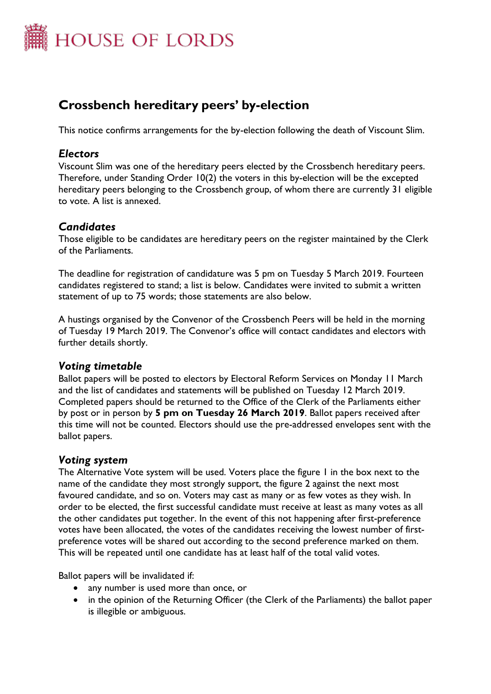

# **Crossbench hereditary peers' by-election**

This notice confirms arrangements for the by-election following the death of Viscount Slim.

# *Electors*

Viscount Slim was one of the hereditary peers elected by the Crossbench hereditary peers. Therefore, under Standing Order 10(2) the voters in this by-election will be the excepted hereditary peers belonging to the Crossbench group, of whom there are currently 31 eligible to vote. A list is annexed.

# *Candidates*

Those eligible to be candidates are hereditary peers on the register maintained by the Clerk of the Parliaments.

The deadline for registration of candidature was 5 pm on Tuesday 5 March 2019. Fourteen candidates registered to stand; a list is below. Candidates were invited to submit a written statement of up to 75 words; those statements are also below.

A hustings organised by the Convenor of the Crossbench Peers will be held in the morning of Tuesday 19 March 2019. The Convenor's office will contact candidates and electors with further details shortly.

# *Voting timetable*

Ballot papers will be posted to electors by Electoral Reform Services on Monday 11 March and the list of candidates and statements will be published on Tuesday 12 March 2019. Completed papers should be returned to the Office of the Clerk of the Parliaments either by post or in person by **5 pm on Tuesday 26 March 2019**. Ballot papers received after this time will not be counted. Electors should use the pre-addressed envelopes sent with the ballot papers.

# *Voting system*

The Alternative Vote system will be used. Voters place the figure 1 in the box next to the name of the candidate they most strongly support, the figure 2 against the next most favoured candidate, and so on. Voters may cast as many or as few votes as they wish. In order to be elected, the first successful candidate must receive at least as many votes as all the other candidates put together. In the event of this not happening after first-preference votes have been allocated, the votes of the candidates receiving the lowest number of firstpreference votes will be shared out according to the second preference marked on them. This will be repeated until one candidate has at least half of the total valid votes.

Ballot papers will be invalidated if:

- any number is used more than once, or
- in the opinion of the Returning Officer (the Clerk of the Parliaments) the ballot paper is illegible or ambiguous.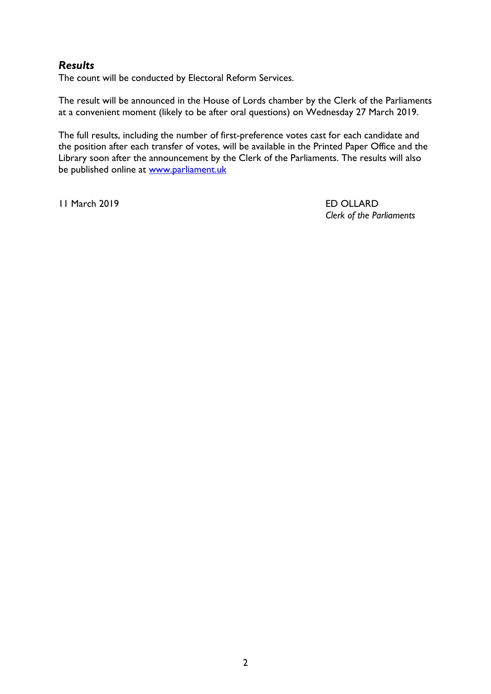# *Results*

The count will be conducted by Electoral Reform Services.

The result will be announced in the House of Lords chamber by the Clerk of the Parliaments at a convenient moment (likely to be after oral questions) on Wednesday 27 March 2019.

The full results, including the number of first-preference votes cast for each candidate and the position after each transfer of votes, will be available in the Printed Paper Office and the Library soon after the announcement by the Clerk of the Parliaments. The results will also be published online at [www.parliament.uk](http://www.parliament.uk/)

11 March 2019 ED OLLARD

*Clerk of the Parliaments*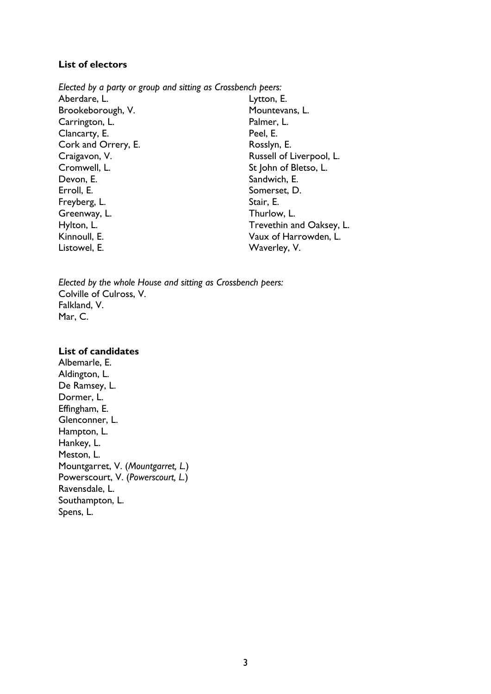#### **List of electors**

*Elected by a party or group and sitting as Crossbench peers:* Aberdare, L. Brookeborough, V. Carrington, L. Clancarty, E. Cork and Orrery, E. Craigavon, V. Cromwell, L. Devon, E. Erroll, E. Freyberg, L. Greenway, L. Hylton, L. Kinnoull, E. Listowel, E. Lytton, E. Mountevans, L. Palmer, L. Peel, E. Rosslyn, E. Russell of Liverpool, L. St John of Bletso, L. Sandwich, E. Somerset, D. Stair, E. Thurlow, L. Trevethin and Oaksey, L. Vaux of Harrowden, L. Waverley, V.

*Elected by the whole House and sitting as Crossbench peers:* Colville of Culross, V. Falkland, V. Mar, C.

#### **List of candidates**

Albemarle, E. Aldington, L. De Ramsey, L. Dormer, L. Effingham, E. Glenconner, L. Hampton, L. Hankey, L. Meston, L. Mountgarret, V. (*Mountgarret, L.*) Powerscourt, V. (*Powerscourt, L.*) Ravensdale, L. Southampton, L. Spens, L.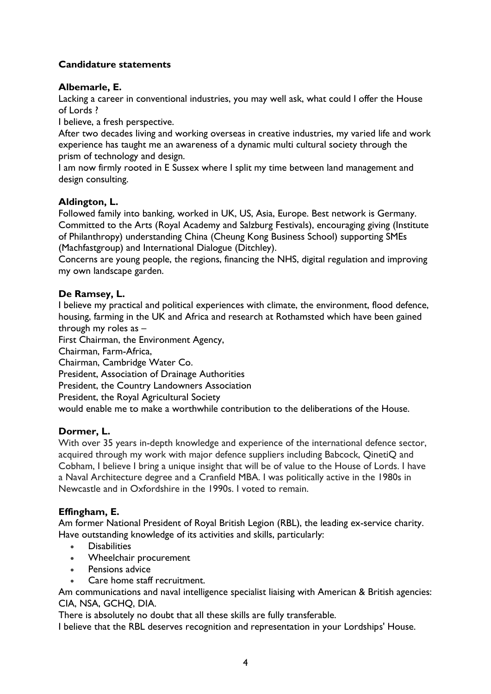# **Candidature statements**

# **Albemarle, E.**

Lacking a career in conventional industries, you may well ask, what could I offer the House of Lords ?

I believe, a fresh perspective.

After two decades living and working overseas in creative industries, my varied life and work experience has taught me an awareness of a dynamic multi cultural society through the prism of technology and design.

I am now firmly rooted in E Sussex where I split my time between land management and design consulting.

#### **Aldington, L.**

Followed family into banking, worked in UK, US, Asia, Europe. Best network is Germany. Committed to the Arts (Royal Academy and Salzburg Festivals), encouraging giving (Institute of Philanthropy) understanding China (Cheung Kong Business School) supporting SMEs (Machfastgroup) and International Dialogue (Ditchley).

Concerns are young people, the regions, financing the NHS, digital regulation and improving my own landscape garden.

### **De Ramsey, L.**

I believe my practical and political experiences with climate, the environment, flood defence, housing, farming in the UK and Africa and research at Rothamsted which have been gained through my roles as –

First Chairman, the Environment Agency,

Chairman, Farm-Africa,

Chairman, Cambridge Water Co.

President, Association of Drainage Authorities

President, the Country Landowners Association

President, the Royal Agricultural Society

would enable me to make a worthwhile contribution to the deliberations of the House.

#### **Dormer, L.**

With over 35 years in-depth knowledge and experience of the international defence sector, acquired through my work with major defence suppliers including Babcock, QinetiQ and Cobham, I believe I bring a unique insight that will be of value to the House of Lords. I have a Naval Architecture degree and a Cranfield MBA. I was politically active in the 1980s in Newcastle and in Oxfordshire in the 1990s. I voted to remain.

#### **Effingham, E.**

Am former National President of Royal British Legion (RBL), the leading ex-service charity. Have outstanding knowledge of its activities and skills, particularly:

- **Disabilities**
- Wheelchair procurement
- Pensions advice
- Care home staff recruitment.

Am communications and naval intelligence specialist liaising with American & British agencies: CIA, NSA, GCHQ, DIA.

There is absolutely no doubt that all these skills are fully transferable.

I believe that the RBL deserves recognition and representation in your Lordships' House.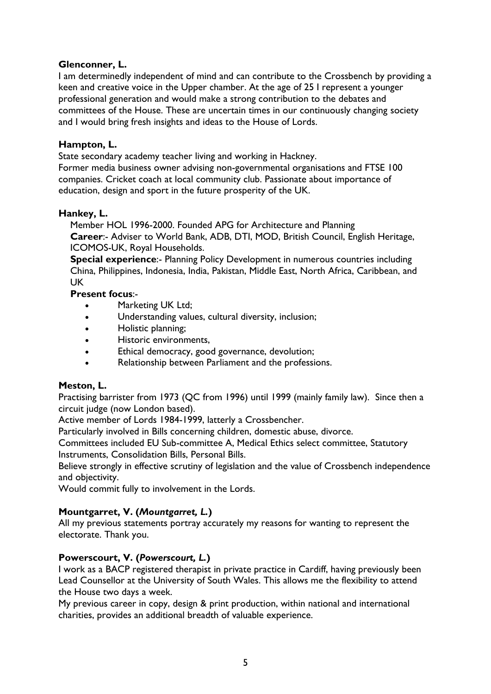# **Glenconner, L.**

I am determinedly independent of mind and can contribute to the Crossbench by providing a keen and creative voice in the Upper chamber. At the age of 25 I represent a younger professional generation and would make a strong contribution to the debates and committees of the House. These are uncertain times in our continuously changing society and I would bring fresh insights and ideas to the House of Lords.

#### **Hampton, L.**

State secondary academy teacher living and working in Hackney.

Former media business owner advising non-governmental organisations and FTSE 100 companies. Cricket coach at local community club. Passionate about importance of education, design and sport in the future prosperity of the UK.

### **Hankey, L.**

Member HOL 1996-2000. Founded APG for Architecture and Planning **Career**:- Adviser to World Bank, ADB, DTI, MOD, British Council, English Heritage, ICOMOS-UK, Royal Households.

**Special experience**:- Planning Policy Development in numerous countries including China, Philippines, Indonesia, India, Pakistan, Middle East, North Africa, Caribbean, and UK

### **Present focus**:-

- Marketing UK Ltd;
- Understanding values, cultural diversity, inclusion;
- Holistic planning;
- Historic environments,
- Ethical democracy, good governance, devolution;
- Relationship between Parliament and the professions.

# **Meston, L.**

Practising barrister from 1973 (QC from 1996) until 1999 (mainly family law). Since then a circuit judge (now London based).

Active member of Lords 1984-1999, latterly a Crossbencher.

Particularly involved in Bills concerning children, domestic abuse, divorce.

Committees included EU Sub-committee A, Medical Ethics select committee, Statutory Instruments, Consolidation Bills, Personal Bills.

Believe strongly in effective scrutiny of legislation and the value of Crossbench independence and objectivity.

Would commit fully to involvement in the Lords.

# **Mountgarret, V. (***Mountgarret, L.***)**

All my previous statements portray accurately my reasons for wanting to represent the electorate. Thank you.

#### **Powerscourt, V. (***Powerscourt, L.***)**

I work as a BACP registered therapist in private practice in Cardiff, having previously been Lead Counsellor at the University of South Wales. This allows me the flexibility to attend the House two days a week.

My previous career in copy, design & print production, within national and international charities, provides an additional breadth of valuable experience.